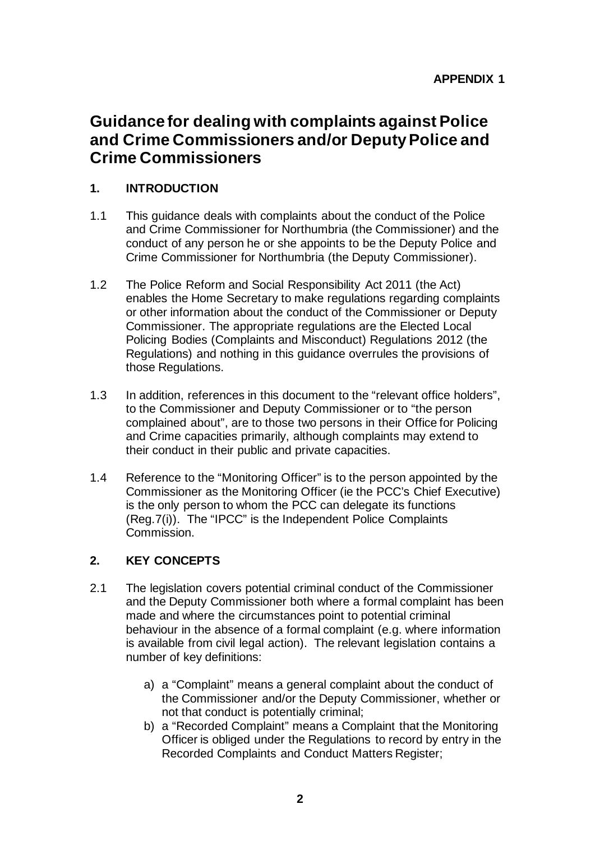# **Guidance for dealing with complaints against Police and Crime Commissioners and/or Deputy Police and Crime Commissioners**

# **1. INTRODUCTION**

- 1.1 This guidance deals with complaints about the conduct of the Police and Crime Commissioner for Northumbria (the Commissioner) and the conduct of any person he or she appoints to be the Deputy Police and Crime Commissioner for Northumbria (the Deputy Commissioner).
- 1.2 The Police Reform and Social Responsibility Act 2011 (the Act) enables the Home Secretary to make regulations regarding complaints or other information about the conduct of the Commissioner or Deputy Commissioner. The appropriate regulations are the Elected Local Policing Bodies (Complaints and Misconduct) Regulations 2012 (the Regulations) and nothing in this guidance overrules the provisions of those Regulations.
- 1.3 In addition, references in this document to the "relevant office holders", to the Commissioner and Deputy Commissioner or to "the person complained about", are to those two persons in their Office for Policing and Crime capacities primarily, although complaints may extend to their conduct in their public and private capacities.
- 1.4 Reference to the "Monitoring Officer" is to the person appointed by the Commissioner as the Monitoring Officer (ie the PCC's Chief Executive) is the only person to whom the PCC can delegate its functions (Reg.7(i)). The "IPCC" is the Independent Police Complaints Commission.

# **2. KEY CONCEPTS**

- 2.1 The legislation covers potential criminal conduct of the Commissioner and the Deputy Commissioner both where a formal complaint has been made and where the circumstances point to potential criminal behaviour in the absence of a formal complaint (e.g. where information is available from civil legal action). The relevant legislation contains a number of key definitions:
	- a) a "Complaint" means a general complaint about the conduct of the Commissioner and/or the Deputy Commissioner, whether or not that conduct is potentially criminal;
	- b) a "Recorded Complaint" means a Complaint that the Monitoring Officer is obliged under the Regulations to record by entry in the Recorded Complaints and Conduct Matters Register;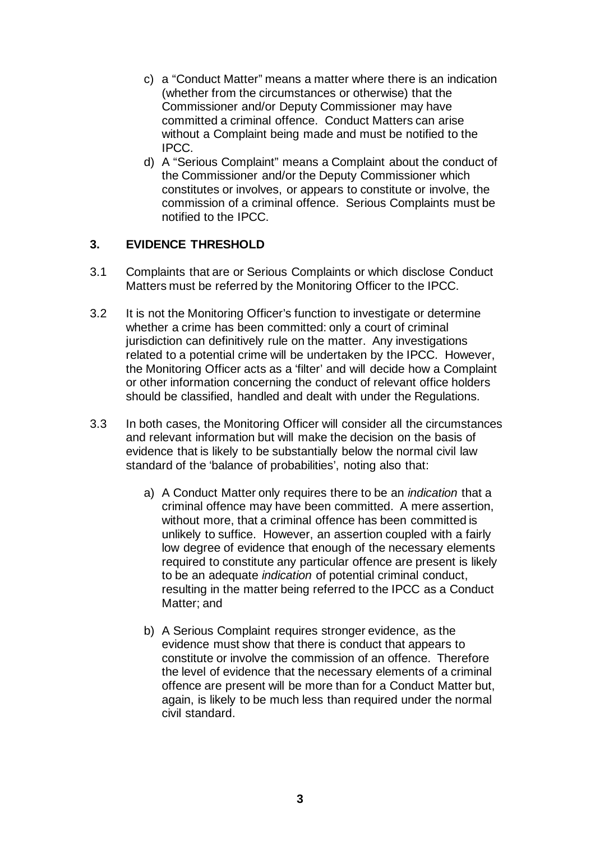- c) a "Conduct Matter" means a matter where there is an indication (whether from the circumstances or otherwise) that the Commissioner and/or Deputy Commissioner may have committed a criminal offence. Conduct Matters can arise without a Complaint being made and must be notified to the IPCC.
- d) A "Serious Complaint" means a Complaint about the conduct of the Commissioner and/or the Deputy Commissioner which constitutes or involves, or appears to constitute or involve, the commission of a criminal offence. Serious Complaints must be notified to the IPCC.

### **3. EVIDENCE THRESHOLD**

- 3.1 Complaints that are or Serious Complaints or which disclose Conduct Matters must be referred by the Monitoring Officer to the IPCC.
- 3.2 It is not the Monitoring Officer's function to investigate or determine whether a crime has been committed: only a court of criminal jurisdiction can definitively rule on the matter. Any investigations related to a potential crime will be undertaken by the IPCC. However, the Monitoring Officer acts as a 'filter' and will decide how a Complaint or other information concerning the conduct of relevant office holders should be classified, handled and dealt with under the Regulations.
- 3.3 In both cases, the Monitoring Officer will consider all the circumstances and relevant information but will make the decision on the basis of evidence that is likely to be substantially below the normal civil law standard of the 'balance of probabilities', noting also that:
	- a) A Conduct Matter only requires there to be an *indication* that a criminal offence may have been committed. A mere assertion, without more, that a criminal offence has been committed is unlikely to suffice. However, an assertion coupled with a fairly low degree of evidence that enough of the necessary elements required to constitute any particular offence are present is likely to be an adequate *indication* of potential criminal conduct, resulting in the matter being referred to the IPCC as a Conduct Matter; and
	- b) A Serious Complaint requires stronger evidence, as the evidence must show that there is conduct that appears to constitute or involve the commission of an offence. Therefore the level of evidence that the necessary elements of a criminal offence are present will be more than for a Conduct Matter but, again, is likely to be much less than required under the normal civil standard.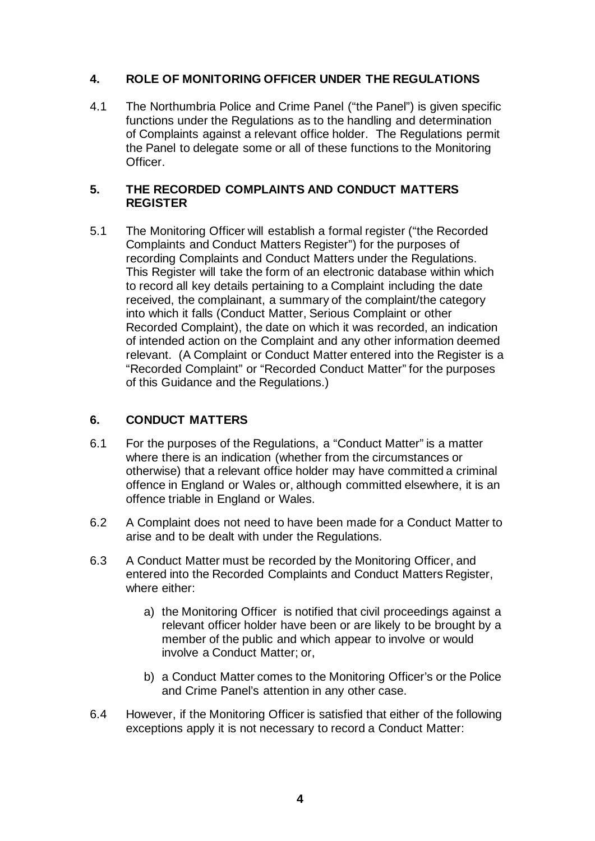### **4. ROLE OF MONITORING OFFICER UNDER THE REGULATIONS**

4.1 The Northumbria Police and Crime Panel ("the Panel") is given specific functions under the Regulations as to the handling and determination of Complaints against a relevant office holder. The Regulations permit the Panel to delegate some or all of these functions to the Monitoring Officer.

#### **5. THE RECORDED COMPLAINTS AND CONDUCT MATTERS REGISTER**

5.1 The Monitoring Officer will establish a formal register ("the Recorded Complaints and Conduct Matters Register") for the purposes of recording Complaints and Conduct Matters under the Regulations. This Register will take the form of an electronic database within which to record all key details pertaining to a Complaint including the date received, the complainant, a summary of the complaint/the category into which it falls (Conduct Matter, Serious Complaint or other Recorded Complaint), the date on which it was recorded, an indication of intended action on the Complaint and any other information deemed relevant. (A Complaint or Conduct Matter entered into the Register is a "Recorded Complaint" or "Recorded Conduct Matter" for the purposes of this Guidance and the Regulations.)

## **6. CONDUCT MATTERS**

- 6.1 For the purposes of the Regulations, a "Conduct Matter" is a matter where there is an indication (whether from the circumstances or otherwise) that a relevant office holder may have committed a criminal offence in England or Wales or, although committed elsewhere, it is an offence triable in England or Wales.
- 6.2 A Complaint does not need to have been made for a Conduct Matter to arise and to be dealt with under the Regulations.
- 6.3 A Conduct Matter must be recorded by the Monitoring Officer, and entered into the Recorded Complaints and Conduct Matters Register, where either:
	- a) the Monitoring Officer is notified that civil proceedings against a relevant officer holder have been or are likely to be brought by a member of the public and which appear to involve or would involve a Conduct Matter; or,
	- b) a Conduct Matter comes to the Monitoring Officer's or the Police and Crime Panel's attention in any other case.
- 6.4 However, if the Monitoring Officer is satisfied that either of the following exceptions apply it is not necessary to record a Conduct Matter: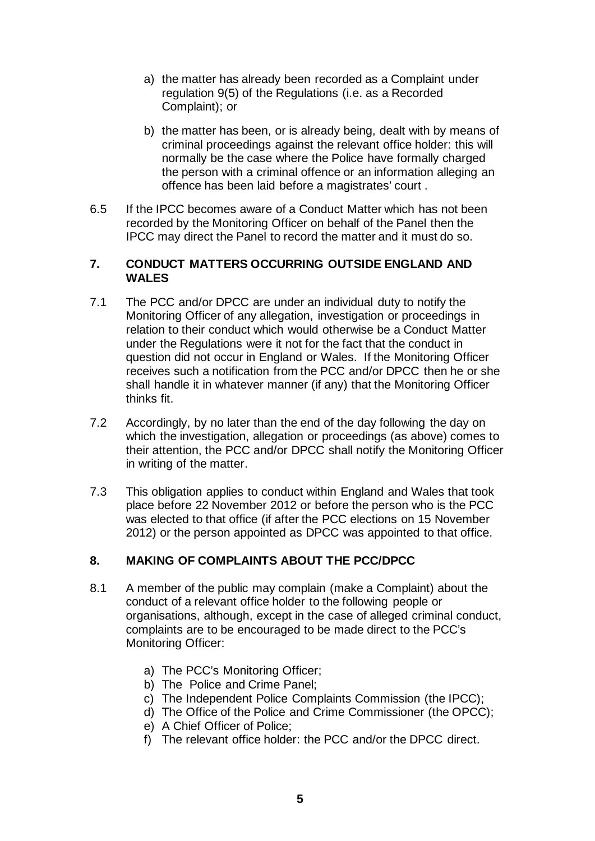- a) the matter has already been recorded as a Complaint under regulation 9(5) of the Regulations (i.e. as a Recorded Complaint); or
- b) the matter has been, or is already being, dealt with by means of criminal proceedings against the relevant office holder: this will normally be the case where the Police have formally charged the person with a criminal offence or an information alleging an offence has been laid before a magistrates' court .
- 6.5 If the IPCC becomes aware of a Conduct Matter which has not been recorded by the Monitoring Officer on behalf of the Panel then the IPCC may direct the Panel to record the matter and it must do so.

#### **7. CONDUCT MATTERS OCCURRING OUTSIDE ENGLAND AND WALES**

- 7.1 The PCC and/or DPCC are under an individual duty to notify the Monitoring Officer of any allegation, investigation or proceedings in relation to their conduct which would otherwise be a Conduct Matter under the Regulations were it not for the fact that the conduct in question did not occur in England or Wales. If the Monitoring Officer receives such a notification from the PCC and/or DPCC then he or she shall handle it in whatever manner (if any) that the Monitoring Officer thinks fit.
- 7.2 Accordingly, by no later than the end of the day following the day on which the investigation, allegation or proceedings (as above) comes to their attention, the PCC and/or DPCC shall notify the Monitoring Officer in writing of the matter.
- 7.3 This obligation applies to conduct within England and Wales that took place before 22 November 2012 or before the person who is the PCC was elected to that office (if after the PCC elections on 15 November 2012) or the person appointed as DPCC was appointed to that office.

### **8. MAKING OF COMPLAINTS ABOUT THE PCC/DPCC**

- 8.1 A member of the public may complain (make a Complaint) about the conduct of a relevant office holder to the following people or organisations, although, except in the case of alleged criminal conduct, complaints are to be encouraged to be made direct to the PCC's Monitoring Officer:
	- a) The PCC's Monitoring Officer;
	- b) The Police and Crime Panel;
	- c) The Independent Police Complaints Commission (the IPCC);
	- d) The Office of the Police and Crime Commissioner (the OPCC);
	- e) A Chief Officer of Police;
	- f) The relevant office holder: the PCC and/or the DPCC direct.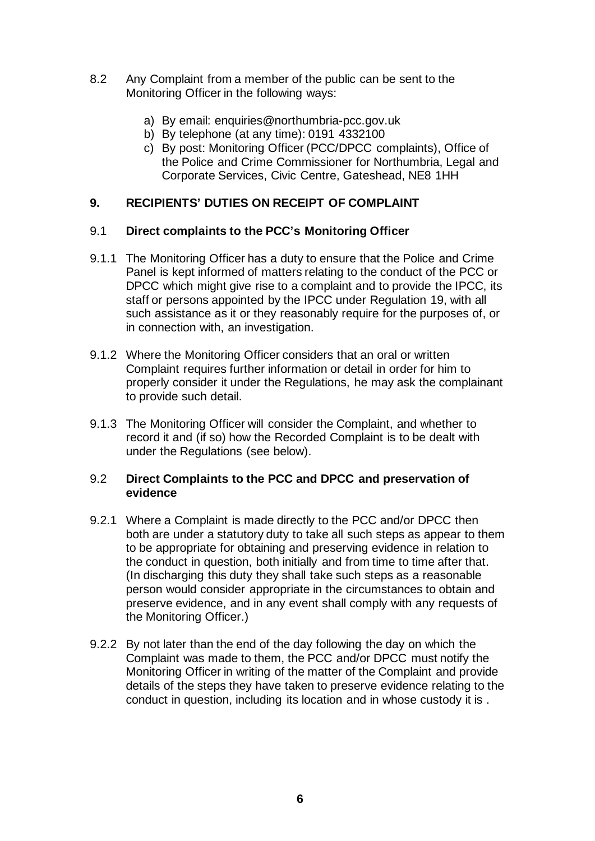- 8.2 Any Complaint from a member of the public can be sent to the Monitoring Officer in the following ways:
	- a) By email: [enquiries@northumbria-pcc.gov.uk](mailto:enquiries@northumbria-pcc.gov.uk)
	- b) By telephone (at any time): 0191 4332100
	- c) By post: Monitoring Officer (PCC/DPCC complaints), Office of the Police and Crime Commissioner for Northumbria, Legal and Corporate Services, Civic Centre, Gateshead, NE8 1HH

### **9. RECIPIENTS' DUTIES ON RECEIPT OF COMPLAINT**

#### 9.1 **Direct complaints to the PCC's Monitoring Officer**

- 9.1.1 The Monitoring Officer has a duty to ensure that the Police and Crime Panel is kept informed of matters relating to the conduct of the PCC or DPCC which might give rise to a complaint and to provide the IPCC, its staff or persons appointed by the IPCC under Regulation 19, with all such assistance as it or they reasonably require for the purposes of, or in connection with, an investigation.
- 9.1.2 Where the Monitoring Officer considers that an oral or written Complaint requires further information or detail in order for him to properly consider it under the Regulations, he may ask the complainant to provide such detail.
- 9.1.3 The Monitoring Officer will consider the Complaint, and whether to record it and (if so) how the Recorded Complaint is to be dealt with under the Regulations (see below).

#### 9.2 **Direct Complaints to the PCC and DPCC and preservation of evidence**

- 9.2.1 Where a Complaint is made directly to the PCC and/or DPCC then both are under a statutory duty to take all such steps as appear to them to be appropriate for obtaining and preserving evidence in relation to the conduct in question, both initially and from time to time after that. (In discharging this duty they shall take such steps as a reasonable person would consider appropriate in the circumstances to obtain and preserve evidence, and in any event shall comply with any requests of the Monitoring Officer.)
- 9.2.2 By not later than the end of the day following the day on which the Complaint was made to them, the PCC and/or DPCC must notify the Monitoring Officer in writing of the matter of the Complaint and provide details of the steps they have taken to preserve evidence relating to the conduct in question, including its location and in whose custody it is .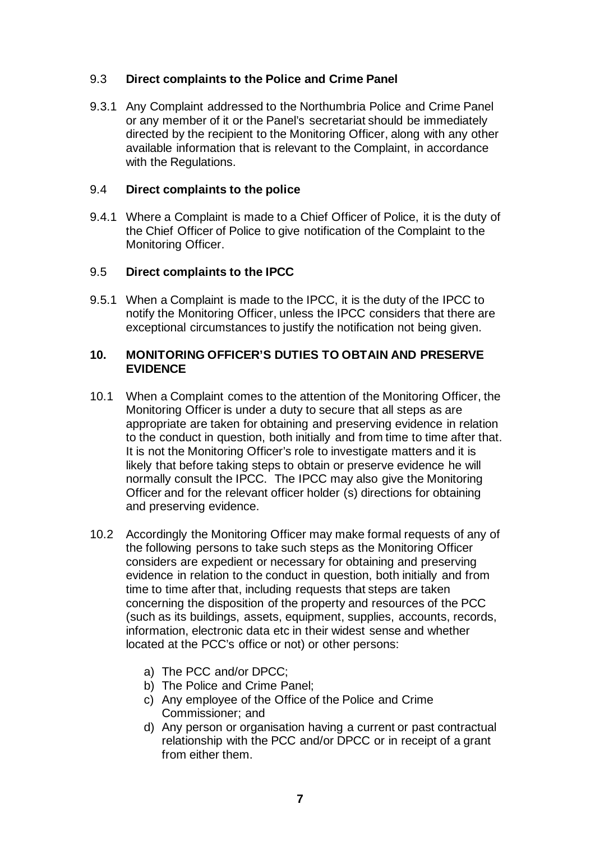### 9.3 **Direct complaints to the Police and Crime Panel**

9.3.1 Any Complaint addressed to the Northumbria Police and Crime Panel or any member of it or the Panel's secretariat should be immediately directed by the recipient to the Monitoring Officer, along with any other available information that is relevant to the Complaint, in accordance with the Regulations.

#### 9.4 **Direct complaints to the police**

9.4.1 Where a Complaint is made to a Chief Officer of Police, it is the duty of the Chief Officer of Police to give notification of the Complaint to the Monitoring Officer.

#### 9.5 **Direct complaints to the IPCC**

9.5.1 When a Complaint is made to the IPCC, it is the duty of the IPCC to notify the Monitoring Officer, unless the IPCC considers that there are exceptional circumstances to justify the notification not being given.

#### **10. MONITORING OFFICER'S DUTIES TO OBTAIN AND PRESERVE EVIDENCE**

- 10.1 When a Complaint comes to the attention of the Monitoring Officer, the Monitoring Officer is under a duty to secure that all steps as are appropriate are taken for obtaining and preserving evidence in relation to the conduct in question, both initially and from time to time after that. It is not the Monitoring Officer's role to investigate matters and it is likely that before taking steps to obtain or preserve evidence he will normally consult the IPCC. The IPCC may also give the Monitoring Officer and for the relevant officer holder (s) directions for obtaining and preserving evidence.
- 10.2 Accordingly the Monitoring Officer may make formal requests of any of the following persons to take such steps as the Monitoring Officer considers are expedient or necessary for obtaining and preserving evidence in relation to the conduct in question, both initially and from time to time after that, including requests that steps are taken concerning the disposition of the property and resources of the PCC (such as its buildings, assets, equipment, supplies, accounts, records, information, electronic data etc in their widest sense and whether located at the PCC's office or not) or other persons:
	- a) The PCC and/or DPCC;
	- b) The Police and Crime Panel;
	- c) Any employee of the Office of the Police and Crime Commissioner; and
	- d) Any person or organisation having a current or past contractual relationship with the PCC and/or DPCC or in receipt of a grant from either them.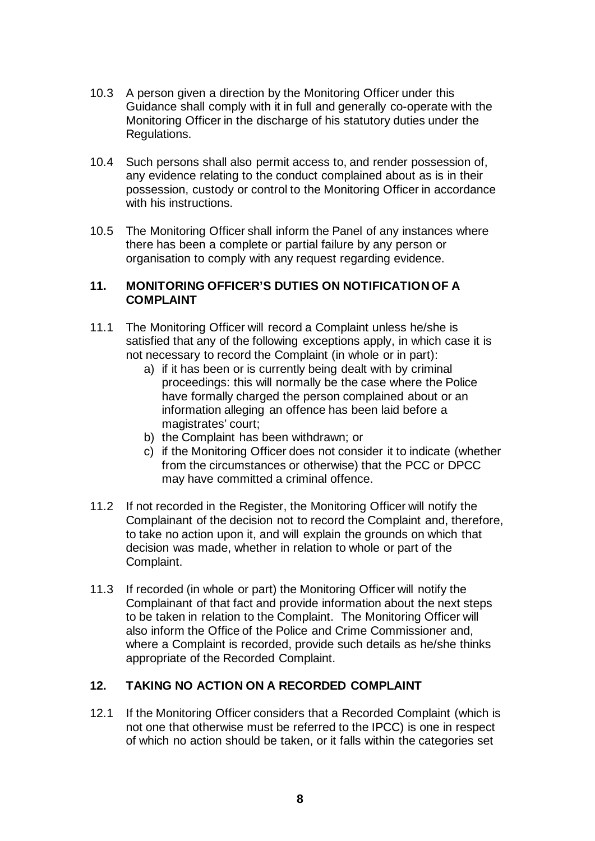- 10.3 A person given a direction by the Monitoring Officer under this Guidance shall comply with it in full and generally co-operate with the Monitoring Officer in the discharge of his statutory duties under the Regulations.
- 10.4 Such persons shall also permit access to, and render possession of, any evidence relating to the conduct complained about as is in their possession, custody or control to the Monitoring Officer in accordance with his instructions.
- 10.5 The Monitoring Officer shall inform the Panel of any instances where there has been a complete or partial failure by any person or organisation to comply with any request regarding evidence.

#### **11. MONITORING OFFICER'S DUTIES ON NOTIFICATION OF A COMPLAINT**

- 11.1 The Monitoring Officer will record a Complaint unless he/she is satisfied that any of the following exceptions apply, in which case it is not necessary to record the Complaint (in whole or in part):
	- a) if it has been or is currently being dealt with by criminal proceedings: this will normally be the case where the Police have formally charged the person complained about or an information alleging an offence has been laid before a magistrates' court;
	- b) the Complaint has been withdrawn; or
	- c) if the Monitoring Officer does not consider it to indicate (whether from the circumstances or otherwise) that the PCC or DPCC may have committed a criminal offence.
- 11.2 If not recorded in the Register, the Monitoring Officer will notify the Complainant of the decision not to record the Complaint and, therefore, to take no action upon it, and will explain the grounds on which that decision was made, whether in relation to whole or part of the Complaint.
- 11.3 If recorded (in whole or part) the Monitoring Officer will notify the Complainant of that fact and provide information about the next steps to be taken in relation to the Complaint. The Monitoring Officer will also inform the Office of the Police and Crime Commissioner and, where a Complaint is recorded, provide such details as he/she thinks appropriate of the Recorded Complaint.

### **12. TAKING NO ACTION ON A RECORDED COMPLAINT**

12.1 If the Monitoring Officer considers that a Recorded Complaint (which is not one that otherwise must be referred to the IPCC) is one in respect of which no action should be taken, or it falls within the categories set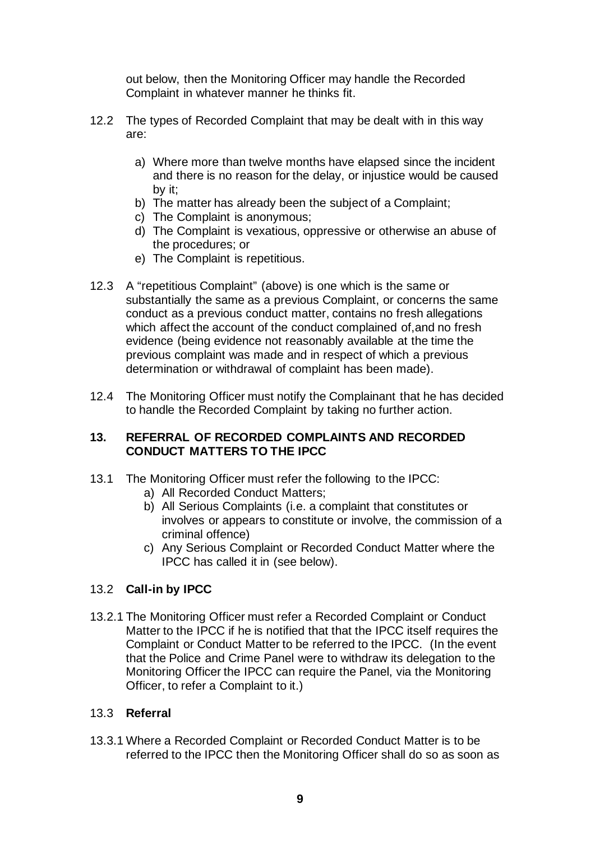out below, then the Monitoring Officer may handle the Recorded Complaint in whatever manner he thinks fit.

- 12.2 The types of Recorded Complaint that may be dealt with in this way are:
	- a) Where more than twelve months have elapsed since the incident and there is no reason for the delay, or injustice would be caused by it;
	- b) The matter has already been the subject of a Complaint;
	- c) The Complaint is anonymous;
	- d) The Complaint is vexatious, oppressive or otherwise an abuse of the procedures; or
	- e) The Complaint is repetitious.
- 12.3 A "repetitious Complaint" (above) is one which is the same or substantially the same as a previous Complaint, or concerns the same conduct as a previous conduct matter, contains no fresh allegations which affect the account of the conduct complained of,and no fresh evidence (being evidence not reasonably available at the time the previous complaint was made and in respect of which a previous determination or withdrawal of complaint has been made).
- 12.4 The Monitoring Officer must notify the Complainant that he has decided to handle the Recorded Complaint by taking no further action.

#### **13. REFERRAL OF RECORDED COMPLAINTS AND RECORDED CONDUCT MATTERS TO THE IPCC**

- 13.1 The Monitoring Officer must refer the following to the IPCC:
	- a) All Recorded Conduct Matters;
	- b) All Serious Complaints (i.e. a complaint that constitutes or involves or appears to constitute or involve, the commission of a criminal offence)
	- c) Any Serious Complaint or Recorded Conduct Matter where the IPCC has called it in (see below).

# 13.2 **Call-in by IPCC**

13.2.1 The Monitoring Officer must refer a Recorded Complaint or Conduct Matter to the IPCC if he is notified that that the IPCC itself requires the Complaint or Conduct Matter to be referred to the IPCC. (In the event that the Police and Crime Panel were to withdraw its delegation to the Monitoring Officer the IPCC can require the Panel, via the Monitoring Officer, to refer a Complaint to it.)

# 13.3 **Referral**

13.3.1 Where a Recorded Complaint or Recorded Conduct Matter is to be referred to the IPCC then the Monitoring Officer shall do so as soon as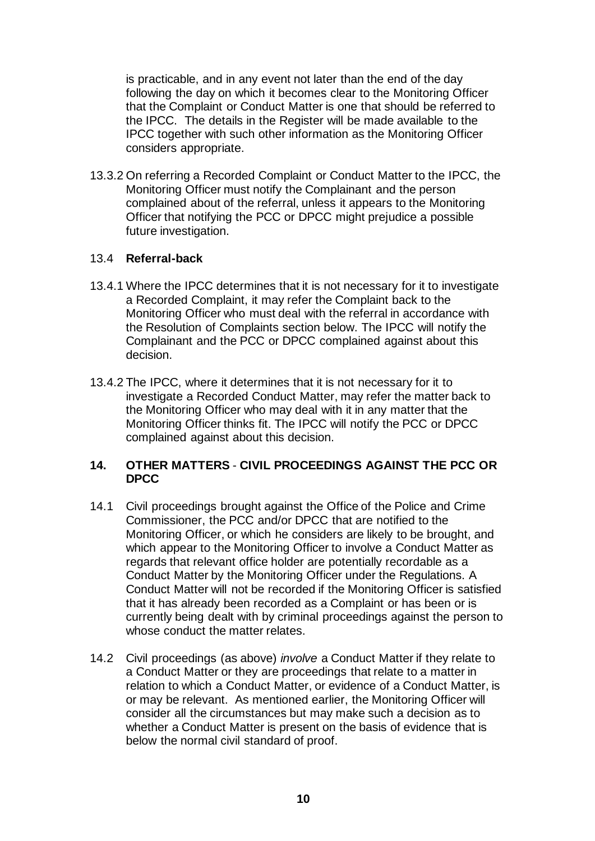is practicable, and in any event not later than the end of the day following the day on which it becomes clear to the Monitoring Officer that the Complaint or Conduct Matter is one that should be referred to the IPCC. The details in the Register will be made available to the IPCC together with such other information as the Monitoring Officer considers appropriate.

13.3.2 On referring a Recorded Complaint or Conduct Matter to the IPCC, the Monitoring Officer must notify the Complainant and the person complained about of the referral, unless it appears to the Monitoring Officer that notifying the PCC or DPCC might prejudice a possible future investigation.

#### 13.4 **Referral-back**

- 13.4.1 Where the IPCC determines that it is not necessary for it to investigate a Recorded Complaint, it may refer the Complaint back to the Monitoring Officer who must deal with the referral in accordance with the Resolution of Complaints section below. The IPCC will notify the Complainant and the PCC or DPCC complained against about this decision.
- 13.4.2 The IPCC, where it determines that it is not necessary for it to investigate a Recorded Conduct Matter, may refer the matter back to the Monitoring Officer who may deal with it in any matter that the Monitoring Officer thinks fit. The IPCC will notify the PCC or DPCC complained against about this decision.

#### **14. OTHER MATTERS** - **CIVIL PROCEEDINGS AGAINST THE PCC OR DPCC**

- 14.1 Civil proceedings brought against the Office of the Police and Crime Commissioner, the PCC and/or DPCC that are notified to the Monitoring Officer, or which he considers are likely to be brought, and which appear to the Monitoring Officer to involve a Conduct Matter as regards that relevant office holder are potentially recordable as a Conduct Matter by the Monitoring Officer under the Regulations. A Conduct Matter will not be recorded if the Monitoring Officer is satisfied that it has already been recorded as a Complaint or has been or is currently being dealt with by criminal proceedings against the person to whose conduct the matter relates.
- 14.2 Civil proceedings (as above) *involve* a Conduct Matter if they relate to a Conduct Matter or they are proceedings that relate to a matter in relation to which a Conduct Matter, or evidence of a Conduct Matter, is or may be relevant. As mentioned earlier, the Monitoring Officer will consider all the circumstances but may make such a decision as to whether a Conduct Matter is present on the basis of evidence that is below the normal civil standard of proof.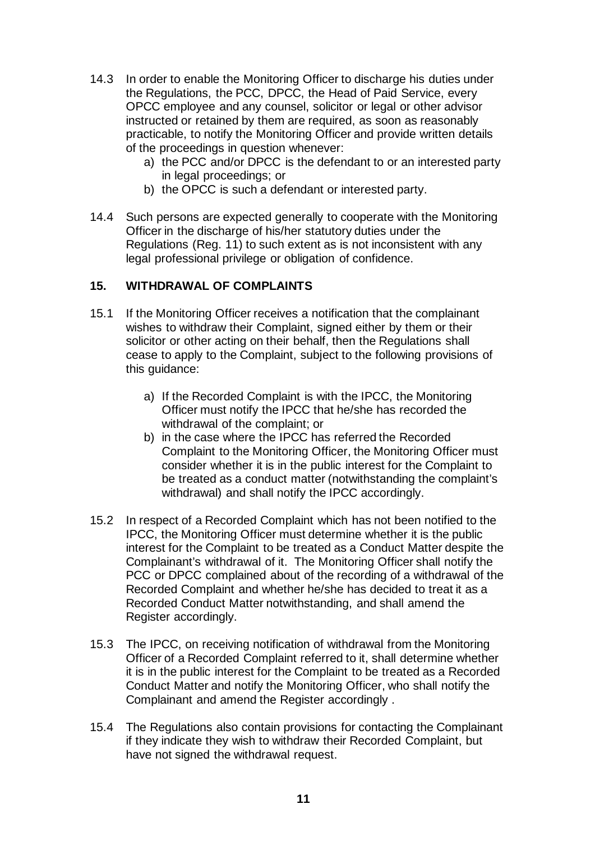- 14.3 In order to enable the Monitoring Officer to discharge his duties under the Regulations, the PCC, DPCC, the Head of Paid Service, every OPCC employee and any counsel, solicitor or legal or other advisor instructed or retained by them are required, as soon as reasonably practicable, to notify the Monitoring Officer and provide written details of the proceedings in question whenever:
	- a) the PCC and/or DPCC is the defendant to or an interested party in legal proceedings; or
	- b) the OPCC is such a defendant or interested party.
- 14.4 Such persons are expected generally to cooperate with the Monitoring Officer in the discharge of his/her statutory duties under the Regulations (Reg. 11) to such extent as is not inconsistent with any legal professional privilege or obligation of confidence.

#### **15. WITHDRAWAL OF COMPLAINTS**

- 15.1 If the Monitoring Officer receives a notification that the complainant wishes to withdraw their Complaint, signed either by them or their solicitor or other acting on their behalf, then the Regulations shall cease to apply to the Complaint, subject to the following provisions of this guidance:
	- a) If the Recorded Complaint is with the IPCC, the Monitoring Officer must notify the IPCC that he/she has recorded the withdrawal of the complaint; or
	- b) in the case where the IPCC has referred the Recorded Complaint to the Monitoring Officer, the Monitoring Officer must consider whether it is in the public interest for the Complaint to be treated as a conduct matter (notwithstanding the complaint's withdrawal) and shall notify the IPCC accordingly.
- 15.2 In respect of a Recorded Complaint which has not been notified to the IPCC, the Monitoring Officer must determine whether it is the public interest for the Complaint to be treated as a Conduct Matter despite the Complainant's withdrawal of it. The Monitoring Officer shall notify the PCC or DPCC complained about of the recording of a withdrawal of the Recorded Complaint and whether he/she has decided to treat it as a Recorded Conduct Matter notwithstanding, and shall amend the Register accordingly.
- 15.3 The IPCC, on receiving notification of withdrawal from the Monitoring Officer of a Recorded Complaint referred to it, shall determine whether it is in the public interest for the Complaint to be treated as a Recorded Conduct Matter and notify the Monitoring Officer, who shall notify the Complainant and amend the Register accordingly .
- 15.4 The Regulations also contain provisions for contacting the Complainant if they indicate they wish to withdraw their Recorded Complaint, but have not signed the withdrawal request.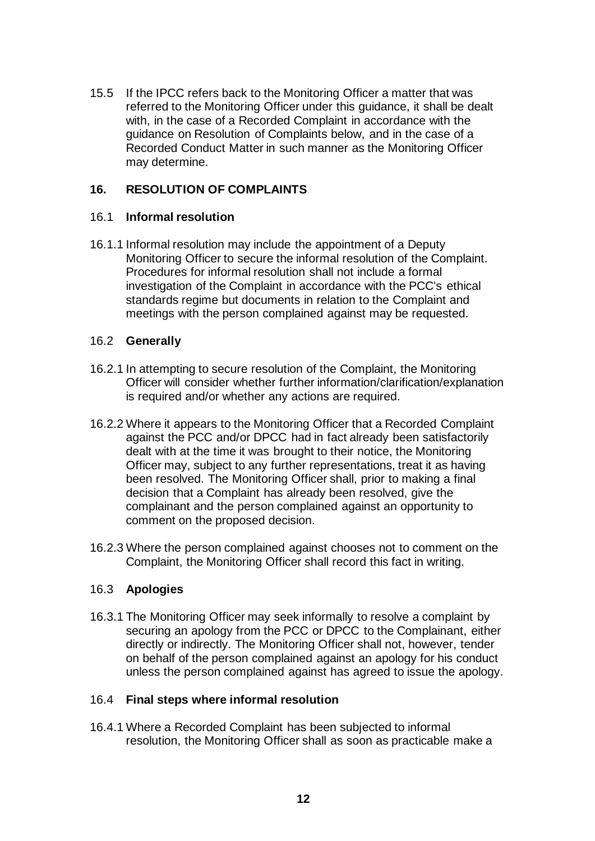15.5 If the IPCC refers back to the Monitoring Officer a matter that was referred to the Monitoring Officer under this guidance, it shall be dealt with, in the case of a Recorded Complaint in accordance with the guidance on Resolution of Complaints below, and in the case of a Recorded Conduct Matter in such manner as the Monitoring Officer may determine.

### **16. RESOLUTION OF COMPLAINTS**

### 16.1 **Informal resolution**

16.1.1 Informal resolution may include the appointment of a Deputy Monitoring Officer to secure the informal resolution of the Complaint. Procedures for informal resolution shall not include a formal investigation of the Complaint in accordance with the PCC's ethical standards regime but documents in relation to the Complaint and meetings with the person complained against may be requested.

#### 16.2 **Generally**

- 16.2.1 In attempting to secure resolution of the Complaint, the Monitoring Officer will consider whether further information/clarification/explanation is required and/or whether any actions are required.
- 16.2.2 Where it appears to the Monitoring Officer that a Recorded Complaint against the PCC and/or DPCC had in fact already been satisfactorily dealt with at the time it was brought to their notice, the Monitoring Officer may, subject to any further representations, treat it as having been resolved. The Monitoring Officer shall, prior to making a final decision that a Complaint has already been resolved, give the complainant and the person complained against an opportunity to comment on the proposed decision.
- 16.2.3 Where the person complained against chooses not to comment on the Complaint, the Monitoring Officer shall record this fact in writing.

### 16.3 **Apologies**

16.3.1 The Monitoring Officer may seek informally to resolve a complaint by securing an apology from the PCC or DPCC to the Complainant, either directly or indirectly. The Monitoring Officer shall not, however, tender on behalf of the person complained against an apology for his conduct unless the person complained against has agreed to issue the apology.

### 16.4 **Final steps where informal resolution**

16.4.1 Where a Recorded Complaint has been subjected to informal resolution, the Monitoring Officer shall as soon as practicable make a